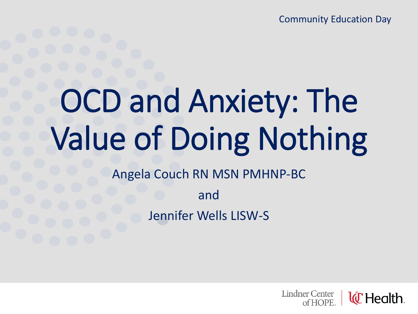Community Education Day

# OCD and Anxiety: The Value of Doing Nothing

Angela Couch RN MSN PMHNP-BC

and Jennifer Wells LISW-S

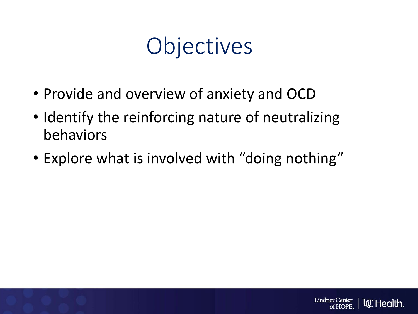## **Objectives**

- Provide and overview of anxiety and OCD
- Identify the reinforcing nature of neutralizing behaviors
- Explore what is involved with "doing nothing"

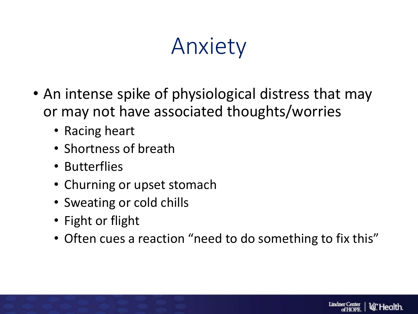## Anxiety

- An intense spike of physiological distress that may or may not have associated thoughts/worries
	- Racing heart
	- Shortness of breath
	- Butterflies
	- Churning or upset stomach
	- Sweating or cold chills
	- Fight or flight
	- Often cues a reaction "need to do something to fix this"

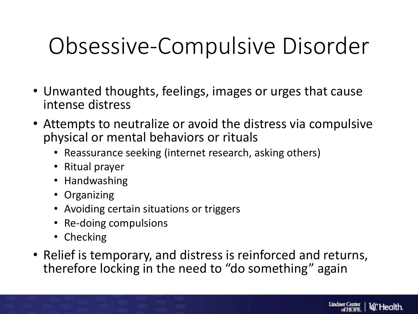## Obsessive-Compulsive Disorder

- Unwanted thoughts, feelings, images or urges that cause intense distress
- Attempts to neutralize or avoid the distress via compulsive physical or mental behaviors or rituals
	- Reassurance seeking (internet research, asking others)
	- Ritual prayer
	- Handwashing
	- Organizing
	- Avoiding certain situations or triggers
	- Re-doing compulsions
	- Checking
- Relief is temporary, and distress is reinforced and returns, therefore locking in the need to "do something" again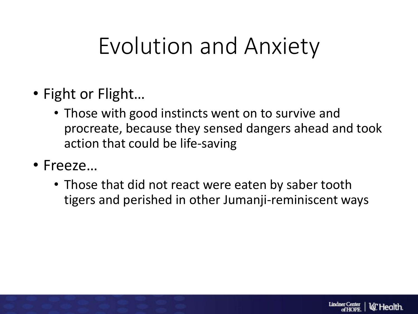## Evolution and Anxiety

- Fight or Flight…
	- Those with good instincts went on to survive and procreate, because they sensed dangers ahead and took action that could be life-saving
- Freeze…
	- Those that did not react were eaten by saber tooth tigers and perished in other Jumanji-reminiscent ways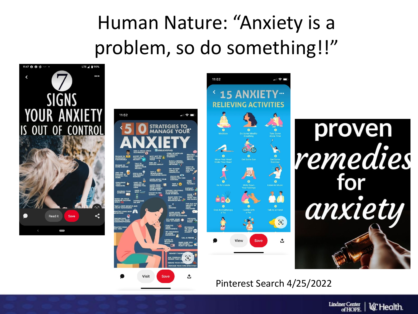#### Human Nature: "Anxiety is a problem, so do something!!"



Pinterest Search 4/25/2022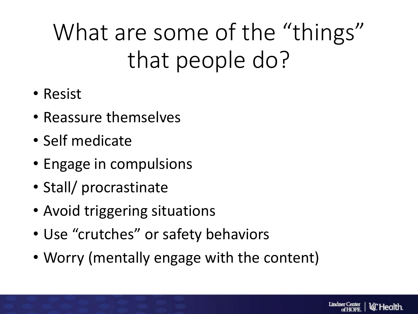# What are some of the "things" that people do?

- Resist
- Reassure themselves
- Self medicate
- Engage in compulsions
- Stall/ procrastinate
- Avoid triggering situations
- Use "crutches" or safety behaviors
- Worry (mentally engage with the content)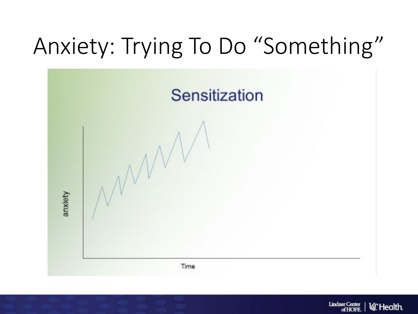## Anxiety: Trying To Do "Something"



**Lindner Center l***C* Health. of HOPE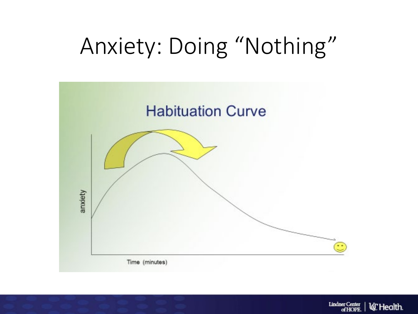## Anxiety: Doing "Nothing"



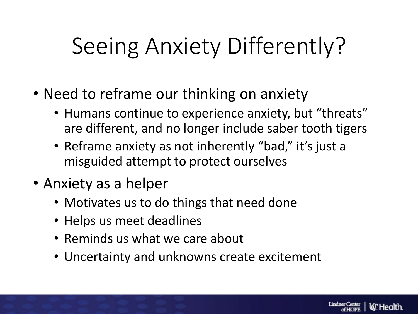## Seeing Anxiety Differently?

- Need to reframe our thinking on anxiety
	- Humans continue to experience anxiety, but "threats" are different, and no longer include saber tooth tigers
	- Reframe anxiety as not inherently "bad," it's just a misguided attempt to protect ourselves
- Anxiety as a helper
	- Motivates us to do things that need done
	- Helps us meet deadlines
	- Reminds us what we care about
	- Uncertainty and unknowns create excitement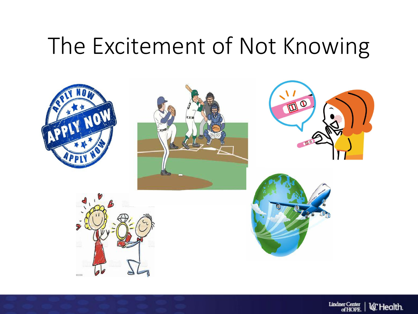#### The Excitement of Not Knowing



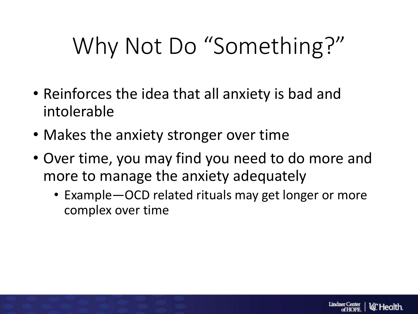# Why Not Do "Something?"

- Reinforces the idea that all anxiety is bad and intolerable
- Makes the anxiety stronger over time
- Over time, you may find you need to do more and more to manage the anxiety adequately
	- Example—OCD related rituals may get longer or more complex over time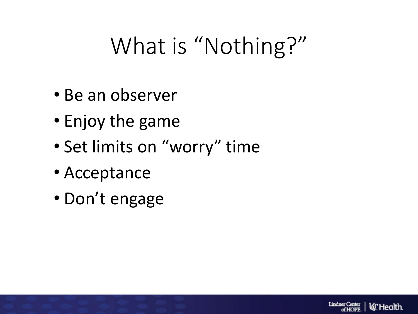## What is "Nothing?"

**Lindner Center** 

**la** Health

- Be an observer
- Enjoy the game
- Set limits on "worry" time
- Acceptance
- Don't engage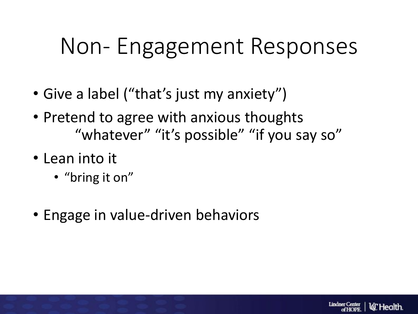#### Non- Engagement Responses

- Give a label ("that's just my anxiety")
- Pretend to agree with anxious thoughts "whatever" "it's possible" "if you say so"
- Lean into it
	- "bring it on"
- Engage in value-driven behaviors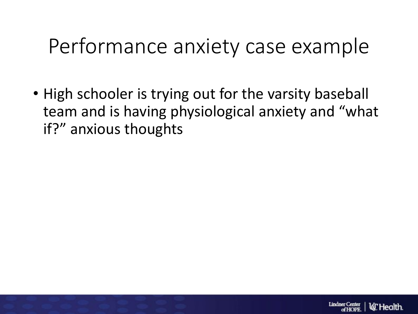#### Performance anxiety case example

• High schooler is trying out for the varsity baseball team and is having physiological anxiety and "what if?" anxious thoughts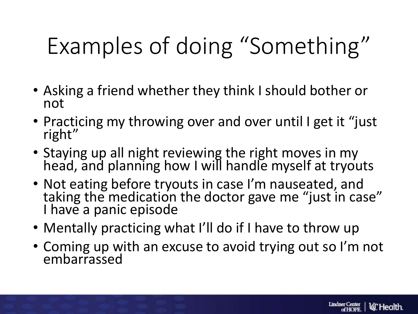# Examples of doing "Something"

- Asking a friend whether they think I should bother or not
- Practicing my throwing over and over until I get it "just right"
- Staying up all night reviewing the right moves in my head, and planning how I will handle myself at tryouts
- Not eating before tryouts in case I'm nauseated, and taking the medication the doctor gave me "just in case" I have a panic episode
- Mentally practicing what I'll do if I have to throw up
- Coming up with an excuse to avoid trying out so I'm not embarrassed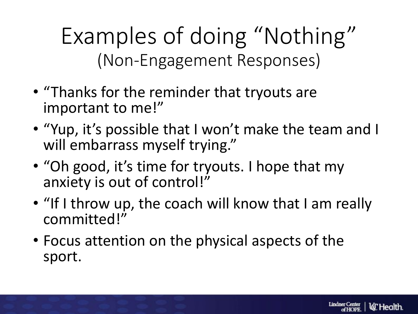Examples of doing "Nothing" (Non-Engagement Responses)

- "Thanks for the reminder that tryouts are important to me!"
- "Yup, it's possible that I won't make the team and I will embarrass myself trying."
- "Oh good, it's time for tryouts. I hope that my anxiety is out of control!"
- "If I throw up, the coach will know that I am really committed!"
- Focus attention on the physical aspects of the sport.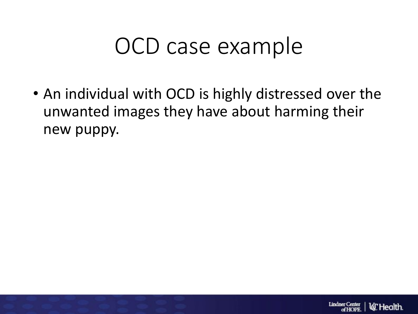#### OCD case example

• An individual with OCD is highly distressed over the unwanted images they have about harming their new puppy.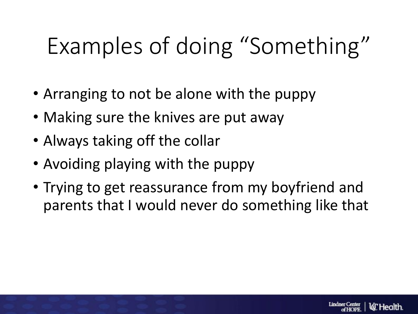## Examples of doing "Something"

- Arranging to not be alone with the puppy
- Making sure the knives are put away
- Always taking off the collar
- Avoiding playing with the puppy
- Trying to get reassurance from my boyfriend and parents that I would never do something like that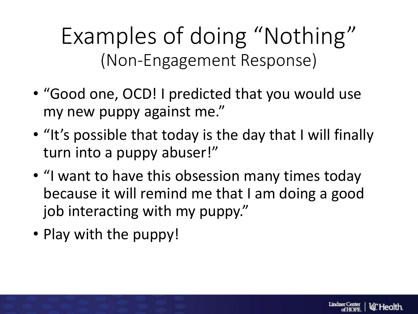Examples of doing "Nothing" (Non-Engagement Response)

- "Good one, OCD! I predicted that you would use my new puppy against me."
- "It's possible that today is the day that I will finally turn into a puppy abuser!"
- "I want to have this obsession many times today because it will remind me that I am doing a good job interacting with my puppy."
- Play with the puppy!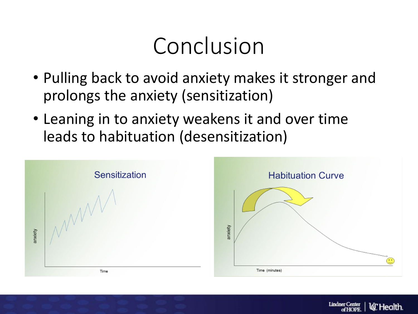## Conclusion

- Pulling back to avoid anxiety makes it stronger and prolongs the anxiety (sensitization)
- Leaning in to anxiety weakens it and over time leads to habituation (desensitization)